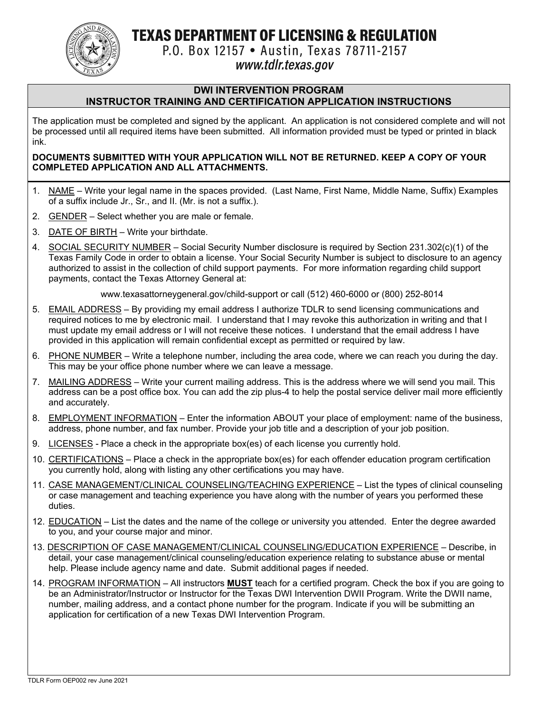TEXAS DEPARTMENT OF LICENSING & REGULATION



P.O. Box 12157 . Austin, Texas 78711-2157

# www.tdlr.texas.gov

#### **DWI INTERVENTION PROGRAM INSTRUCTOR TRAINING AND CERTIFICATION APPLICATION INSTRUCTIONS**

The application must be completed and signed by the applicant. An application is not considered complete and will not be processed until all required items have been submitted. All information provided must be typed or printed in black ink.

#### **DOCUMENTS SUBMITTED WITH YOUR APPLICATION WILL NOT BE RETURNED. KEEP A COPY OF YOUR COMPLETED APPLICATION AND ALL ATTACHMENTS.**

- 1. NAME Write your legal name in the spaces provided. (Last Name, First Name, Middle Name, Suffix) Examples of a suffix include Jr., Sr., and II. (Mr. is not a suffix.).
- 2. GENDER Select whether you are male or female.
- 3. DATE OF BIRTH Write your birthdate.
- 4. SOCIAL SECURITY NUMBER Social Security Number disclosure is required by Section 231.302(c)(1) of the Texas Family Code in order to obtain a license. Your Social Security Number is subject to disclosure to an agency authorized to assist in the collection of child support payments. For more information regarding child support payments, contact the Texas Attorney General at:

www.texasattorneygeneral.gov/child-support or call (512) 460-6000 or (800) 252-8014

- 5. EMAIL ADDRESS By providing my email address I authorize TDLR to send licensing communications and required notices to me by electronic mail. I understand that I may revoke this authorization in writing and that I must update my email address or I will not receive these notices. I understand that the email address I have provided in this application will remain confidential except as permitted or required by law.
- 6. PHONE NUMBER Write a telephone number, including the area code, where we can reach you during the day. This may be your office phone number where we can leave a message.
- 7. MAILING ADDRESS Write your current mailing address. This is the address where we will send you mail. This address can be a post office box. You can add the zip plus-4 to help the postal service deliver mail more efficiently and accurately.
- 8. EMPLOYMENT INFORMATION Enter the information ABOUT your place of employment: name of the business, address, phone number, and fax number. Provide your job title and a description of your job position.
- 9. LICENSES Place a check in the appropriate box(es) of each license you currently hold.
- 10. CERTIFICATIONS Place a check in the appropriate box(es) for each offender education program certification you currently hold, along with listing any other certifications you may have.
- 11. CASE MANAGEMENT/CLINICAL COUNSELING/TEACHING EXPERIENCE List the types of clinical counseling or case management and teaching experience you have along with the number of years you performed these duties.
- 12. EDUCATION List the dates and the name of the college or university you attended. Enter the degree awarded to you, and your course major and minor.
- 13. DESCRIPTION OF CASE MANAGEMENT/CLINICAL COUNSELING/EDUCATION EXPERIENCE Describe, in detail, your case management/clinical counseling/education experience relating to substance abuse or mental help. Please include agency name and date. Submit additional pages if needed.
- 14. PROGRAM INFORMATION All instructors **MUST** teach for a certified program. Check the box if you are going to be an Administrator/Instructor or Instructor for the Texas DWI Intervention DWII Program. Write the DWII name, number, mailing address, and a contact phone number for the program. Indicate if you will be submitting an application for certification of a new Texas DWI Intervention Program.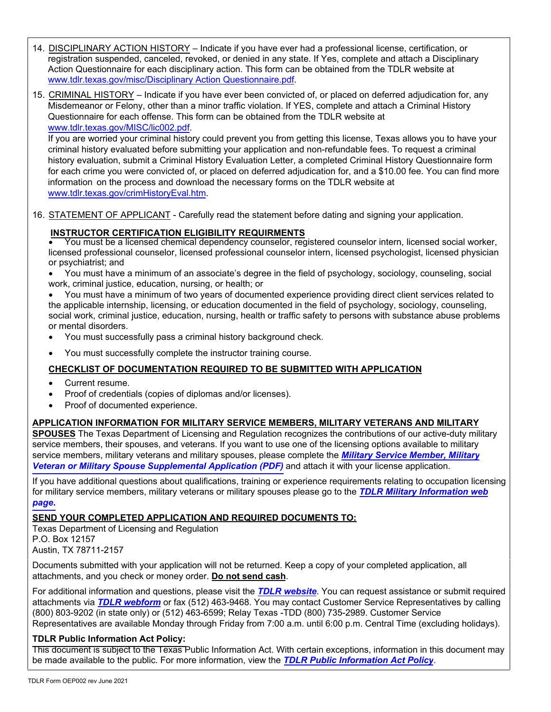- 14. DISCIPLINARY ACTION HISTORY Indicate if you have ever had a professional license, certification, or registration suspended, canceled, revoked, or denied in any state. If Yes, complete and attach a Disciplinary Action Questionnaire for each disciplinary action. This form can be obtained from the TDLR website at www.tdlr.texas.gov/misc/Disciplinary Action Questionnaire.pdf.
- 15. CRIMINAL HISTORY Indicate if you have ever been convicted of, or placed on deferred adjudication for, any Misdemeanor or Felony, other than a minor traffic violation. If YES, complete and attach a Criminal History Questionnaire for each offense. This form can be obtained from the TDLR website at www.tdlr.texas.gov/MISC/lic002.pdf.

If you are worried your criminal history could prevent you from getting this license, Texas allows you to have your criminal history evaluated before submitting your application and non-refundable fees. To request a criminal history evaluation, submit a Criminal History Evaluation Letter, a completed Criminal History Questionnaire form for each crime you were convicted of, or placed on deferred adjudication for, and a \$10.00 fee. You can find more information on the process and download the necessary forms on the TDLR website at www.tdlr.texas.gov/crimHistoryEval.htm.

16. STATEMENT OF APPLICANT - Carefully read the statement before dating and signing your application.

### **INSTRUCTOR CERTIFICATION ELIGIBILITY REQUIRMENTS**

• You must be a licensed chemical dependency counselor, registered counselor intern, licensed social worker, licensed professional counselor, licensed professional counselor intern, licensed psychologist, licensed physician or psychiatrist; and

• You must have a minimum of an associate's degree in the field of psychology, sociology, counseling, social work, criminal justice, education, nursing, or health; or

• You must have a minimum of two years of documented experience providing direct client services related to the applicable internship, licensing, or education documented in the field of psychology, sociology, counseling, social work, criminal justice, education, nursing, health or traffic safety to persons with substance abuse problems or mental disorders.

- You must successfully pass a criminal history background check.
- You must successfully complete the instructor training course.

#### **CHECKLIST OF DOCUMENTATION REQUIRED TO BE SUBMITTED WITH APPLICATION**

- Current resume.
- Proof of credentials (copies of diplomas and/or licenses).
- Proof of documented experience.

#### **APPLICATION INFORMATION FOR MILITARY SERVICE MEMBERS, MILITARY VETERANS AND MILITARY**

**SPOUSES** The Texas Department of Licensing and Regulation recognizes the contributions of our active-duty military service members, their spouses, and veterans. If you want to use one of the licensing options available to military [service members, military veterans and military spouses, please complete the](https://www.tdlr.texas.gov/misc/militarysupplemental.pdf) *Military Service Member, Military Veteran or Military Spouse Supplemental Application (PDF)* and attach it with your license application.

If you have additional questions about qualifications, training or experience requirements relating to occupation licensing [for military service members, military veterans or military spouses please go to the](https://www.tdlr.texas.gov/military/) *TDLR Military Information web page***.** 

#### **SEND YOUR COMPLETED APPLICATION AND REQUIRED DOCUMENTS TO:**

Texas Department of Licensing and Regulation P.O. Box 12157 Austin, TX 78711-2157

Documents submitted with your application will not be returned. Keep a copy of your completed application, all attachments, and you check or money order. **Do not send cash**.

For additional information and questions, please visit the *[TDLR website](https://www.tdlr.texas.gov/)*. You can request assistance or submit required attachments via *[TDLR webform](https://www.tdlr.texas.gov/help/)* or fax (512) 463-9468. You may contact Customer Service Representatives by calling (800) 803-9202 (in state only) or (512) 463-6599; Relay Texas -TDD (800) 735-2989. Customer Service Representatives are available Monday through Friday from 7:00 a.m. until 6:00 p.m. Central Time (excluding holidays).

#### **TDLR Public Information Act Policy:**

This document is subject to the Texas Public Information Act. With certain exceptions, information in this document may be made available to the public. For more information, view the *[TDLR Public Information Act Policy](https://www.tdlr.texas.gov/disclaimer.htm#PublicInfoPolicy)*.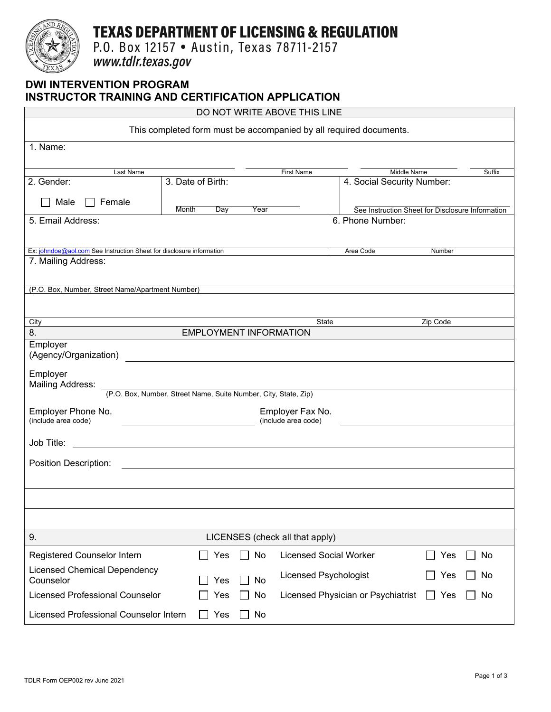

# **TEXAS DEPARTMENT OF LICENSING & REGULATION**

P.O. Box 12157 . Austin, Texas 78711-2157

www.tdlr.texas.gov

## **DWI INTERVENTION PROGRAM INSTRUCTOR TRAINING AND CERTIFICATION APPLICATION**

| DO NOT WRITE ABOVE THIS LINE                                                         |                                                                      |                   |              |                                 |                               |                                    |          |        |
|--------------------------------------------------------------------------------------|----------------------------------------------------------------------|-------------------|--------------|---------------------------------|-------------------------------|------------------------------------|----------|--------|
| This completed form must be accompanied by all required documents.                   |                                                                      |                   |              |                                 |                               |                                    |          |        |
| 1. Name:                                                                             |                                                                      |                   |              |                                 |                               |                                    |          |        |
|                                                                                      |                                                                      |                   |              |                                 |                               |                                    |          |        |
| Last Name                                                                            |                                                                      |                   |              | <b>First Name</b>               |                               | Middle Name                        |          | Suffix |
| 2. Gender:                                                                           |                                                                      | 3. Date of Birth: |              |                                 |                               | 4. Social Security Number:         |          |        |
| Male<br>Female                                                                       | <b>Month</b>                                                         | Day               | Year         |                                 |                               |                                    |          |        |
| 5. Email Address:                                                                    | See Instruction Sheet for Disclosure Information<br>6. Phone Number: |                   |              |                                 |                               |                                    |          |        |
|                                                                                      |                                                                      |                   |              |                                 |                               |                                    |          |        |
| Ex: johndoe@aol.com See Instruction Sheet for disclosure information                 |                                                                      |                   |              |                                 |                               | Area Code                          | Number   |        |
| 7. Mailing Address:                                                                  |                                                                      |                   |              |                                 |                               |                                    |          |        |
|                                                                                      |                                                                      |                   |              |                                 |                               |                                    |          |        |
| (P.O. Box, Number, Street Name/Apartment Number)                                     |                                                                      |                   |              |                                 |                               |                                    |          |        |
|                                                                                      |                                                                      |                   |              |                                 |                               |                                    |          |        |
| City                                                                                 |                                                                      |                   |              |                                 | State                         |                                    | Zip Code |        |
| 8.                                                                                   |                                                                      |                   |              | <b>EMPLOYMENT INFORMATION</b>   |                               |                                    |          |        |
| Employer<br>(Agency/Organization)                                                    |                                                                      |                   |              |                                 |                               |                                    |          |        |
| Employer<br>Mailing Address:                                                         |                                                                      |                   |              |                                 |                               |                                    |          |        |
| (P.O. Box, Number, Street Name, Suite Number, City, State, Zip)                      |                                                                      |                   |              |                                 |                               |                                    |          |        |
| Employer Phone No.<br>Employer Fax No.<br>(include area code)<br>(include area code) |                                                                      |                   |              |                                 |                               |                                    |          |        |
| Job Title:                                                                           |                                                                      |                   |              |                                 |                               |                                    |          |        |
| Position Description:                                                                |                                                                      |                   |              |                                 |                               |                                    |          |        |
|                                                                                      |                                                                      |                   |              |                                 |                               |                                    |          |        |
|                                                                                      |                                                                      |                   |              |                                 |                               |                                    |          |        |
|                                                                                      |                                                                      |                   |              |                                 |                               |                                    |          |        |
| 9.                                                                                   |                                                                      |                   |              | LICENSES (check all that apply) |                               |                                    |          |        |
| Registered Counselor Intern                                                          |                                                                      | Yes               | No           |                                 | <b>Licensed Social Worker</b> |                                    | Yes      | No     |
| <b>Licensed Chemical Dependency</b><br>Counselor                                     |                                                                      | Yes               | No<br>$\Box$ |                                 | <b>Licensed Psychologist</b>  |                                    | Yes      | No     |
| <b>Licensed Professional Counselor</b>                                               |                                                                      | Yes               | No           |                                 |                               | Licensed Physician or Psychiatrist | Yes      | No     |
| Licensed Professional Counselor Intern                                               |                                                                      | Yes               | No           |                                 |                               |                                    |          |        |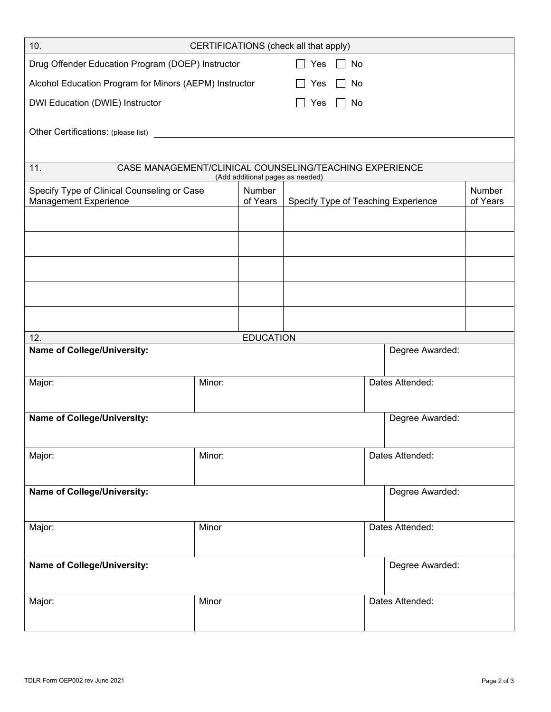| 10.<br>CERTIFICATIONS (check all that apply)                                                       |          |                  |           |    |                                     |                 |  |
|----------------------------------------------------------------------------------------------------|----------|------------------|-----------|----|-------------------------------------|-----------------|--|
| Drug Offender Education Program (DOEP) Instructor                                                  |          | $\Box$ Yes       | $\Box$ No |    |                                     |                 |  |
| Alcohol Education Program for Minors (AEPM) Instructor                                             |          | Yes              | No        |    |                                     |                 |  |
| DWI Education (DWIE) Instructor                                                                    |          |                  | Yes       | No |                                     |                 |  |
|                                                                                                    |          |                  |           |    |                                     |                 |  |
|                                                                                                    |          |                  |           |    |                                     |                 |  |
|                                                                                                    |          |                  |           |    |                                     |                 |  |
| CASE MANAGEMENT/CLINICAL COUNSELING/TEACHING EXPERIENCE<br>11.<br>(Add additional pages as needed) |          |                  |           |    |                                     |                 |  |
| Specify Type of Clinical Counseling or Case                                                        | Number   |                  |           |    |                                     | Number          |  |
| Management Experience                                                                              | of Years |                  |           |    | Specify Type of Teaching Experience | of Years        |  |
|                                                                                                    |          |                  |           |    |                                     |                 |  |
|                                                                                                    |          |                  |           |    |                                     |                 |  |
|                                                                                                    |          |                  |           |    |                                     |                 |  |
|                                                                                                    |          |                  |           |    |                                     |                 |  |
|                                                                                                    |          |                  |           |    |                                     |                 |  |
|                                                                                                    |          |                  |           |    |                                     |                 |  |
| 12.                                                                                                |          | <b>EDUCATION</b> |           |    |                                     |                 |  |
| <b>Name of College/University:</b>                                                                 |          |                  |           |    | Degree Awarded:                     |                 |  |
| Major:                                                                                             | Minor:   |                  |           |    |                                     | Dates Attended: |  |
|                                                                                                    |          |                  |           |    |                                     |                 |  |
| <b>Name of College/University:</b>                                                                 |          |                  |           |    |                                     | Degree Awarded: |  |
|                                                                                                    |          |                  |           |    |                                     |                 |  |
| Major:                                                                                             | Minor:   |                  |           |    | Dates Attended:                     |                 |  |
|                                                                                                    |          |                  |           |    |                                     |                 |  |
| <b>Name of College/University:</b>                                                                 |          |                  |           |    |                                     | Degree Awarded: |  |
|                                                                                                    |          |                  |           |    |                                     |                 |  |
| Major:                                                                                             | Minor    |                  |           |    |                                     | Dates Attended: |  |
|                                                                                                    |          |                  |           |    |                                     |                 |  |
| Name of College/University:                                                                        |          |                  |           |    | Degree Awarded:                     |                 |  |
|                                                                                                    |          |                  |           |    |                                     |                 |  |
| Major:                                                                                             | Minor    |                  |           |    |                                     | Dates Attended: |  |
|                                                                                                    |          |                  |           |    |                                     |                 |  |